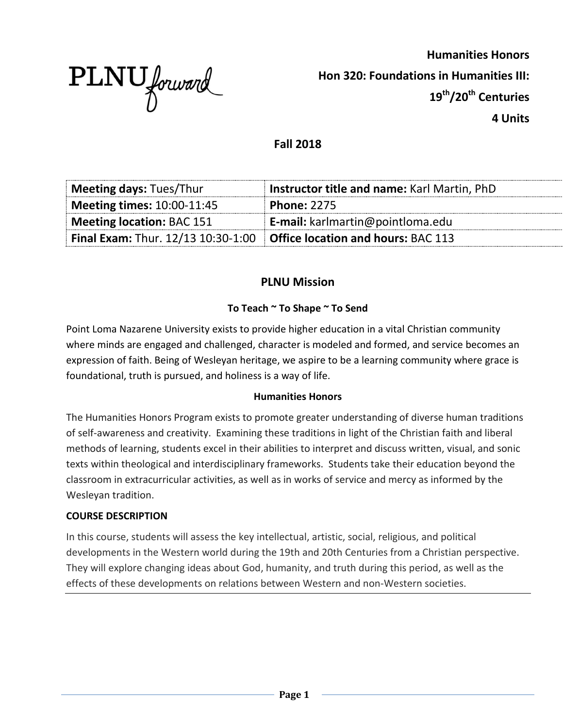

**Humanities Honors Hon 320: Foundations in Humanities III: 19th/20th Centuries 4 Units**

# **Fall 2018**

| <b>Meeting days: Tues/Thur</b>                                                  | Instructor title and name: Karl Martin, PhD |
|---------------------------------------------------------------------------------|---------------------------------------------|
| <b>Meeting times: 10:00-11:45</b>                                               | <b>Phone: 2275</b>                          |
| Meeting location: BAC 151                                                       | <b>E-mail:</b> karlmartin@pointloma.edu     |
| Final Exam: Thur. $12/13$ 10:30-1:00 $\big $ Office location and hours: BAC 113 |                                             |

# **PLNU Mission**

## **To Teach ~ To Shape ~ To Send**

Point Loma Nazarene University exists to provide higher education in a vital Christian community where minds are engaged and challenged, character is modeled and formed, and service becomes an expression of faith. Being of Wesleyan heritage, we aspire to be a learning community where grace is foundational, truth is pursued, and holiness is a way of life.

### **Humanities Honors**

The Humanities Honors Program exists to promote greater understanding of diverse human traditions of self-awareness and creativity. Examining these traditions in light of the Christian faith and liberal methods of learning, students excel in their abilities to interpret and discuss written, visual, and sonic texts within theological and interdisciplinary frameworks. Students take their education beyond the classroom in extracurricular activities, as well as in works of service and mercy as informed by the Wesleyan tradition.

#### **COURSE DESCRIPTION**

In this course, students will assess the key intellectual, artistic, social, religious, and political developments in the Western world during the 19th and 20th Centuries from a Christian perspective. They will explore changing ideas about God, humanity, and truth during this period, as well as the effects of these developments on relations between Western and non-Western societies.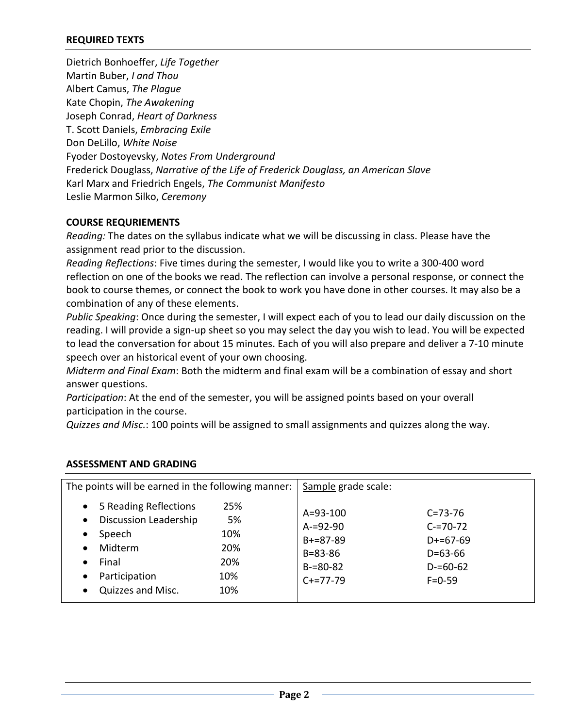### **REQUIRED TEXTS**

Dietrich Bonhoeffer, *Life Together* Martin Buber, *I and Thou* Albert Camus, *The Plague* Kate Chopin, *The Awakening* Joseph Conrad, *Heart of Darkness* T. Scott Daniels, *Embracing Exile* Don DeLillo, *White Noise* Fyoder Dostoyevsky, *Notes From Underground* Frederick Douglass, *Narrative of the Life of Frederick Douglass, an American Slave* Karl Marx and Friedrich Engels, *The Communist Manifesto* Leslie Marmon Silko, *Ceremony*

#### **COURSE REQURIEMENTS**

*Reading:* The dates on the syllabus indicate what we will be discussing in class. Please have the assignment read prior to the discussion.

*Reading Reflections*: Five times during the semester, I would like you to write a 300-400 word reflection on one of the books we read. The reflection can involve a personal response, or connect the book to course themes, or connect the book to work you have done in other courses. It may also be a combination of any of these elements.

*Public Speaking*: Once during the semester, I will expect each of you to lead our daily discussion on the reading. I will provide a sign-up sheet so you may select the day you wish to lead. You will be expected to lead the conversation for about 15 minutes. Each of you will also prepare and deliver a 7-10 minute speech over an historical event of your own choosing.

*Midterm and Final Exam*: Both the midterm and final exam will be a combination of essay and short answer questions.

*Participation*: At the end of the semester, you will be assigned points based on your overall participation in the course.

*Quizzes and Misc.*: 100 points will be assigned to small assignments and quizzes along the way.

| The points will be earned in the following manner:                                                                                                                                                      |                                              | Sample grade scale:                                                                           |                                                                                                |
|---------------------------------------------------------------------------------------------------------------------------------------------------------------------------------------------------------|----------------------------------------------|-----------------------------------------------------------------------------------------------|------------------------------------------------------------------------------------------------|
| 5 Reading Reflections<br>$\bullet$<br><b>Discussion Leadership</b><br>$\bullet$<br>Speech<br>$\bullet$<br>Midterm<br>$\bullet$<br>Final<br>$\bullet$<br>Participation<br>$\bullet$<br>Quizzes and Misc. | 25%<br>5%<br>10%<br>20%<br>20%<br>10%<br>10% | $A = 93 - 100$<br>$A = 92 - 90$<br>$B+=87-89$<br>$B = 83 - 86$<br>$B = 80 - 82$<br>$C+=77-79$ | $C = 73 - 76$<br>$C = 70 - 72$<br>$D+=67-69$<br>$D = 63 - 66$<br>$D = 60 - 62$<br>$F = 0 - 59$ |

### **ASSESSMENT AND GRADING**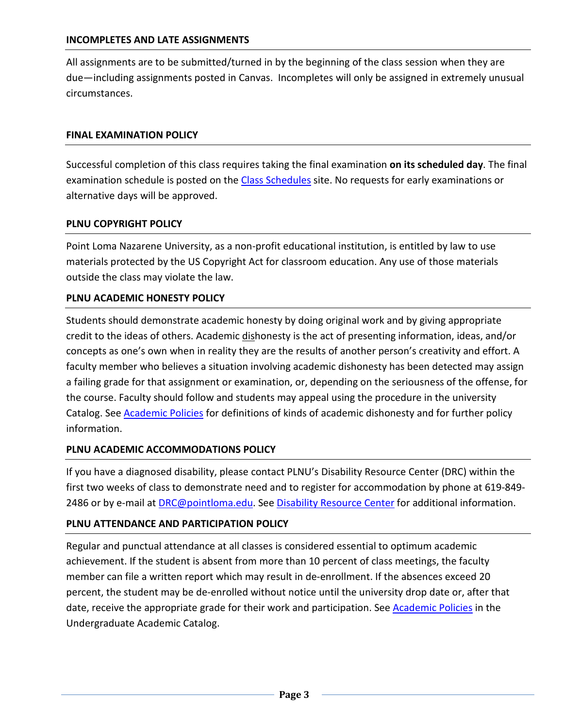All assignments are to be submitted/turned in by the beginning of the class session when they are due—including assignments posted in Canvas. Incompletes will only be assigned in extremely unusual circumstances.

### **FINAL EXAMINATION POLICY**

Successful completion of this class requires taking the final examination **on its scheduled day**. The final examination schedule is posted on the [Class Schedules](http://www.pointloma.edu/experience/academics/class-schedules) site. No requests for early examinations or alternative days will be approved.

#### **PLNU COPYRIGHT POLICY**

Point Loma Nazarene University, as a non-profit educational institution, is entitled by law to use materials protected by the US Copyright Act for classroom education. Any use of those materials outside the class may violate the law.

### **PLNU ACADEMIC HONESTY POLICY**

Students should demonstrate academic honesty by doing original work and by giving appropriate credit to the ideas of others. Academic dishonesty is the act of presenting information, ideas, and/or concepts as one's own when in reality they are the results of another person's creativity and effort. A faculty member who believes a situation involving academic dishonesty has been detected may assign a failing grade for that assignment or examination, or, depending on the seriousness of the offense, for the course. Faculty should follow and students may appeal using the procedure in the university Catalog. See [Academic Policies](http://catalog.pointloma.edu/content.php?catoid=18&navoid=1278) for definitions of kinds of academic dishonesty and for further policy information.

### **PLNU ACADEMIC ACCOMMODATIONS POLICY**

If you have a diagnosed disability, please contact PLNU's Disability Resource Center (DRC) within the first two weeks of class to demonstrate need and to register for accommodation by phone at 619-849- 2486 or by e-mail at [DRC@pointloma.edu.](mailto:DRC@pointloma.edu) See [Disability Resource Center](http://www.pointloma.edu/experience/offices/administrative-offices/academic-advising-office/disability-resource-center) for additional information.

#### **PLNU ATTENDANCE AND PARTICIPATION POLICY**

Regular and punctual attendance at all classes is considered essential to optimum academic achievement. If the student is absent from more than 10 percent of class meetings, the faculty member can file a written report which may result in de-enrollment. If the absences exceed 20 percent, the student may be de-enrolled without notice until the university drop date or, after that date, receive the appropriate grade for their work and participation. See **Academic Policies** in the Undergraduate Academic Catalog.